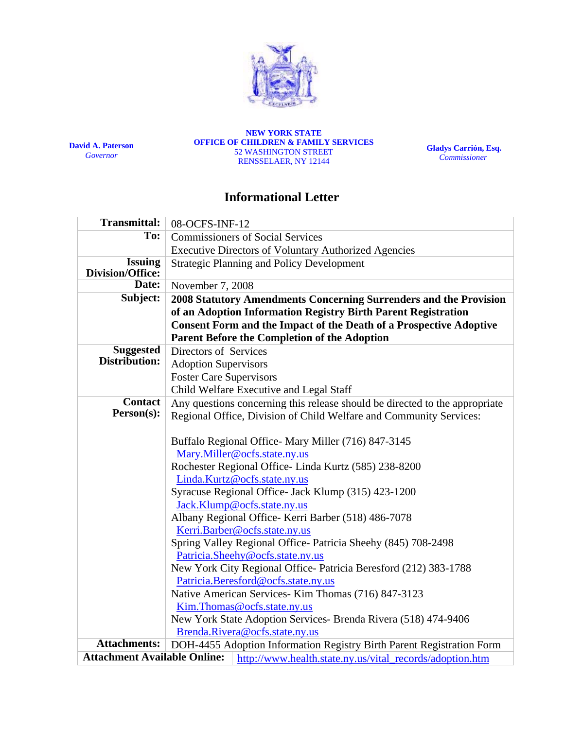

**David A. Paterson**  *Governor*

**NEW YORK STATE OFFICE OF CHILDREN & FAMILY SERVICES**  52 WASHINGTON STREET RENSSELAER, NY 12144

**Gladys Carrión, Esq.**   *Commissioner*

## **Informational Letter**

| <b>Transmittal:</b>                 | 08-OCFS-INF-12                                                                                |  |  |  |  |  |
|-------------------------------------|-----------------------------------------------------------------------------------------------|--|--|--|--|--|
| To:                                 | <b>Commissioners of Social Services</b>                                                       |  |  |  |  |  |
|                                     | <b>Executive Directors of Voluntary Authorized Agencies</b>                                   |  |  |  |  |  |
| <b>Issuing</b><br>Division/Office:  | <b>Strategic Planning and Policy Development</b>                                              |  |  |  |  |  |
| Date:                               | November 7, 2008                                                                              |  |  |  |  |  |
| Subject:                            | 2008 Statutory Amendments Concerning Surrenders and the Provision                             |  |  |  |  |  |
|                                     | of an Adoption Information Registry Birth Parent Registration                                 |  |  |  |  |  |
|                                     | <b>Consent Form and the Impact of the Death of a Prospective Adoptive</b>                     |  |  |  |  |  |
|                                     | Parent Before the Completion of the Adoption                                                  |  |  |  |  |  |
| <b>Suggested</b>                    | Directors of Services                                                                         |  |  |  |  |  |
| Distribution:                       | <b>Adoption Supervisors</b>                                                                   |  |  |  |  |  |
|                                     | <b>Foster Care Supervisors</b>                                                                |  |  |  |  |  |
|                                     | Child Welfare Executive and Legal Staff                                                       |  |  |  |  |  |
| <b>Contact</b>                      | Any questions concerning this release should be directed to the appropriate                   |  |  |  |  |  |
| Person(s):                          | Regional Office, Division of Child Welfare and Community Services:                            |  |  |  |  |  |
|                                     |                                                                                               |  |  |  |  |  |
|                                     | Buffalo Regional Office-Mary Miller (716) 847-3145                                            |  |  |  |  |  |
|                                     | Mary.Miller@ocfs.state.ny.us                                                                  |  |  |  |  |  |
|                                     | Rochester Regional Office-Linda Kurtz (585) 238-8200                                          |  |  |  |  |  |
|                                     | Linda.Kurtz@ocfs.state.ny.us                                                                  |  |  |  |  |  |
|                                     | Syracuse Regional Office- Jack Klump (315) 423-1200                                           |  |  |  |  |  |
|                                     | Jack.Klump@ocfs.state.ny.us                                                                   |  |  |  |  |  |
|                                     | Albany Regional Office- Kerri Barber (518) 486-7078                                           |  |  |  |  |  |
|                                     | Kerri.Barber@ocfs.state.ny.us<br>Spring Valley Regional Office-Patricia Sheehy (845) 708-2498 |  |  |  |  |  |
|                                     | Patricia.Sheehy@ocfs.state.ny.us                                                              |  |  |  |  |  |
|                                     | New York City Regional Office- Patricia Beresford (212) 383-1788                              |  |  |  |  |  |
|                                     | Patricia.Beresford@ocfs.state.ny.us                                                           |  |  |  |  |  |
|                                     | Native American Services- Kim Thomas (716) 847-3123                                           |  |  |  |  |  |
|                                     | Kim.Thomas@ocfs.state.ny.us                                                                   |  |  |  |  |  |
|                                     | New York State Adoption Services- Brenda Rivera (518) 474-9406                                |  |  |  |  |  |
|                                     | Brenda.Rivera@ocfs.state.ny.us                                                                |  |  |  |  |  |
| <b>Attachments:</b>                 | DOH-4455 Adoption Information Registry Birth Parent Registration Form                         |  |  |  |  |  |
| <b>Attachment Available Online:</b> | http://www.health.state.ny.us/vital_records/adoption.htm                                      |  |  |  |  |  |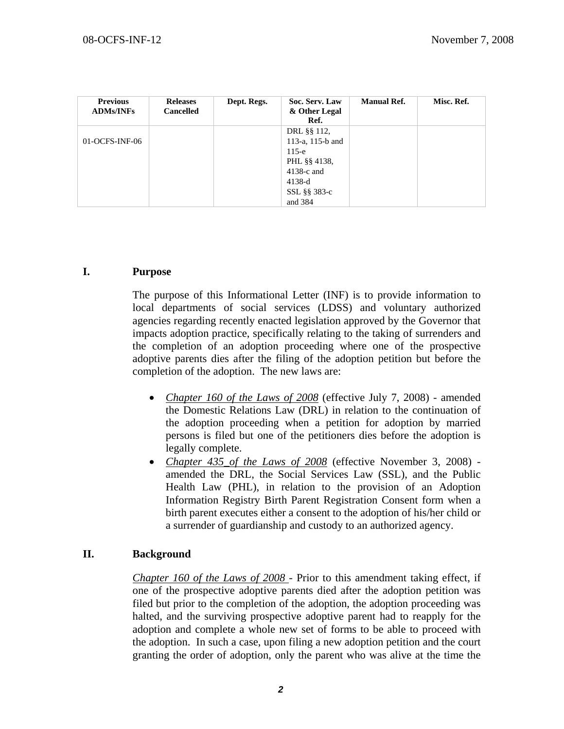| <b>Previous</b><br><b>ADMs/INFs</b> | <b>Releases</b><br><b>Cancelled</b> | Dept. Regs. | Soc. Serv. Law<br>& Other Legal<br>Ref. | <b>Manual Ref.</b> | Misc. Ref. |
|-------------------------------------|-------------------------------------|-------------|-----------------------------------------|--------------------|------------|
|                                     |                                     |             | DRL §§ 112,                             |                    |            |
| 01-OCFS-INF-06                      |                                     |             | 113-a, 115-b and                        |                    |            |
|                                     |                                     |             | $115-e$                                 |                    |            |
|                                     |                                     |             | PHL §§ 4138.                            |                    |            |
|                                     |                                     |             | $4138-c$ and                            |                    |            |
|                                     |                                     |             | $4138-d$                                |                    |            |
|                                     |                                     |             | SSL §§ 383-c                            |                    |            |
|                                     |                                     |             | and 384                                 |                    |            |

## **I. Purpose**

The purpose of this Informational Letter (INF) is to provide information to local departments of social services (LDSS) and voluntary authorized agencies regarding recently enacted legislation approved by the Governor that impacts adoption practice, specifically relating to the taking of surrenders and the completion of an adoption proceeding where one of the prospective adoptive parents dies after the filing of the adoption petition but before the completion of the adoption. The new laws are:

- *Chapter 160 of the Laws of 2008* (effective July 7, 2008) amended the Domestic Relations Law (DRL) in relation to the continuation of the adoption proceeding when a petition for adoption by married persons is filed but one of the petitioners dies before the adoption is legally complete.
- *Chapter 435\_of the Laws of 2008* (effective November 3, 2008) amended the DRL, the Social Services Law (SSL), and the Public Health Law (PHL), in relation to the provision of an Adoption Information Registry Birth Parent Registration Consent form when a birth parent executes either a consent to the adoption of his/her child or a surrender of guardianship and custody to an authorized agency.

## **II. Background**

*Chapter 160 of the Laws of 2008* - Prior to this amendment taking effect, if one of the prospective adoptive parents died after the adoption petition was filed but prior to the completion of the adoption, the adoption proceeding was halted, and the surviving prospective adoptive parent had to reapply for the adoption and complete a whole new set of forms to be able to proceed with the adoption. In such a case, upon filing a new adoption petition and the court granting the order of adoption, only the parent who was alive at the time the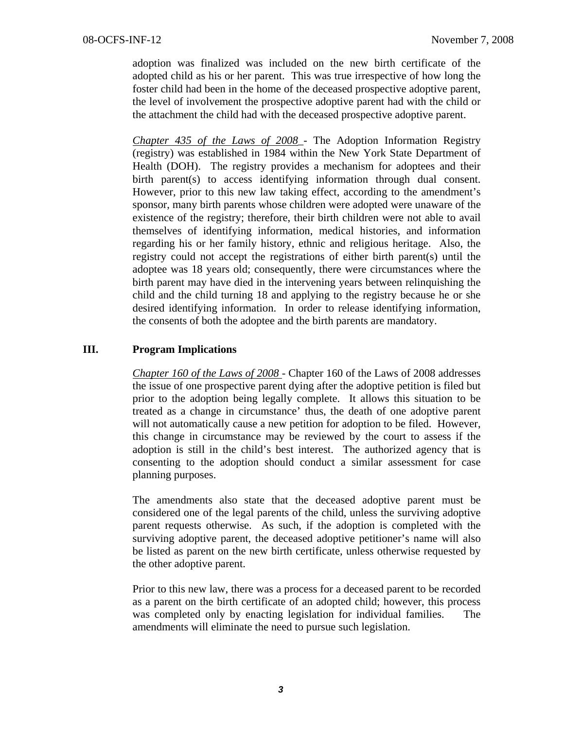adoption was finalized was included on the new birth certificate of the adopted child as his or her parent. This was true irrespective of how long the foster child had been in the home of the deceased prospective adoptive parent, the level of involvement the prospective adoptive parent had with the child or the attachment the child had with the deceased prospective adoptive parent.

*Chapter 435 of the Laws of 2008\_*- The Adoption Information Registry (registry) was established in 1984 within the New York State Department of Health (DOH). The registry provides a mechanism for adoptees and their birth parent(s) to access identifying information through dual consent. However, prior to this new law taking effect, according to the amendment's sponsor, many birth parents whose children were adopted were unaware of the existence of the registry; therefore, their birth children were not able to avail themselves of identifying information, medical histories, and information regarding his or her family history, ethnic and religious heritage. Also, the registry could not accept the registrations of either birth parent(s) until the adoptee was 18 years old; consequently, there were circumstances where the birth parent may have died in the intervening years between relinquishing the child and the child turning 18 and applying to the registry because he or she desired identifying information. In order to release identifying information, the consents of both the adoptee and the birth parents are mandatory.

## **III. Program Implications**

*Chapter 160 of the Laws of 2008* - Chapter 160 of the Laws of 2008 addresses the issue of one prospective parent dying after the adoptive petition is filed but prior to the adoption being legally complete. It allows this situation to be treated as a change in circumstance' thus, the death of one adoptive parent will not automatically cause a new petition for adoption to be filed. However, this change in circumstance may be reviewed by the court to assess if the adoption is still in the child's best interest. The authorized agency that is consenting to the adoption should conduct a similar assessment for case planning purposes.

The amendments also state that the deceased adoptive parent must be considered one of the legal parents of the child, unless the surviving adoptive parent requests otherwise. As such, if the adoption is completed with the surviving adoptive parent, the deceased adoptive petitioner's name will also be listed as parent on the new birth certificate, unless otherwise requested by the other adoptive parent.

Prior to this new law, there was a process for a deceased parent to be recorded as a parent on the birth certificate of an adopted child; however, this process was completed only by enacting legislation for individual families. The amendments will eliminate the need to pursue such legislation.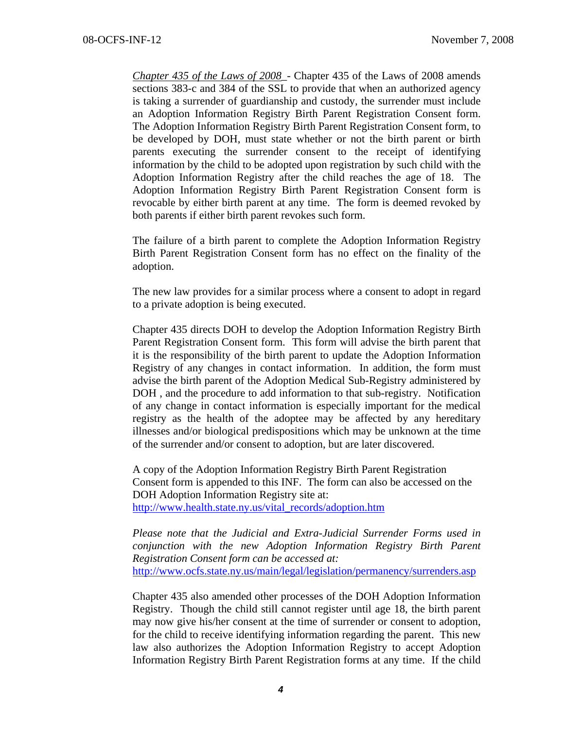*Chapter 435 of the Laws of 2008\_*- Chapter 435 of the Laws of 2008 amends sections 383-c and 384 of the SSL to provide that when an authorized agency is taking a surrender of guardianship and custody, the surrender must include an Adoption Information Registry Birth Parent Registration Consent form. The Adoption Information Registry Birth Parent Registration Consent form, to be developed by DOH, must state whether or not the birth parent or birth parents executing the surrender consent to the receipt of identifying information by the child to be adopted upon registration by such child with the Adoption Information Registry after the child reaches the age of 18. The Adoption Information Registry Birth Parent Registration Consent form is revocable by either birth parent at any time. The form is deemed revoked by both parents if either birth parent revokes such form.

The failure of a birth parent to complete the Adoption Information Registry Birth Parent Registration Consent form has no effect on the finality of the adoption.

The new law provides for a similar process where a consent to adopt in regard to a private adoption is being executed.

Chapter 435 directs DOH to develop the Adoption Information Registry Birth Parent Registration Consent form. This form will advise the birth parent that it is the responsibility of the birth parent to update the Adoption Information Registry of any changes in contact information. In addition, the form must advise the birth parent of the Adoption Medical Sub-Registry administered by DOH , and the procedure to add information to that sub-registry. Notification of any change in contact information is especially important for the medical registry as the health of the adoptee may be affected by any hereditary illnesses and/or biological predispositions which may be unknown at the time of the surrender and/or consent to adoption, but are later discovered.

A copy of the Adoption Information Registry Birth Parent Registration Consent form is appended to this INF. The form can also be accessed on the DOH Adoption Information Registry site at: http://www.health.state.ny.us/vital\_records/adoption.htm

*Please note that the Judicial and Extra-Judicial Surrender Forms used in conjunction with the new Adoption Information Registry Birth Parent Registration Consent form can be accessed at:*  http://www.ocfs.state.ny.us/main/legal/legislation/permanency/surrenders.asp

Chapter 435 also amended other processes of the DOH Adoption Information Registry. Though the child still cannot register until age 18, the birth parent may now give his/her consent at the time of surrender or consent to adoption, for the child to receive identifying information regarding the parent. This new law also authorizes the Adoption Information Registry to accept Adoption Information Registry Birth Parent Registration forms at any time. If the child